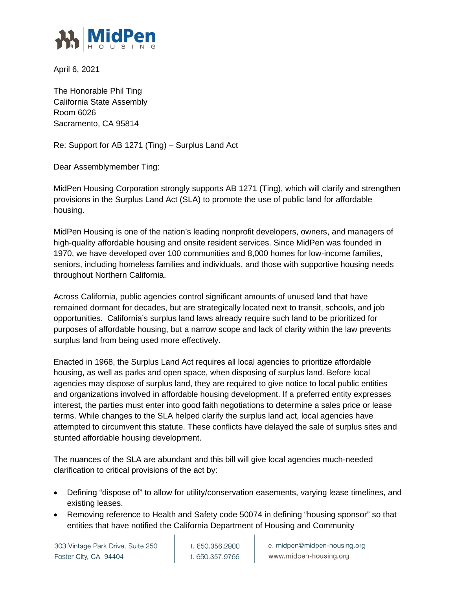

April 6, 2021

The Honorable Phil Ting California State Assembly Room 6026 Sacramento, CA 95814

Re: Support for AB 1271 (Ting) – Surplus Land Act

Dear Assemblymember Ting:

MidPen Housing Corporation strongly supports AB 1271 (Ting), which will clarify and strengthen provisions in the Surplus Land Act (SLA) to promote the use of public land for affordable housing.

MidPen Housing is one of the nation's leading nonprofit developers, owners, and managers of high-quality affordable housing and onsite resident services. Since MidPen was founded in 1970, we have developed over 100 communities and 8,000 homes for low-income families, seniors, including homeless families and individuals, and those with supportive housing needs throughout Northern California.

Across California, public agencies control significant amounts of unused land that have remained dormant for decades, but are strategically located next to transit, schools, and job opportunities. California's surplus land laws already require such land to be prioritized for purposes of affordable housing, but a narrow scope and lack of clarity within the law prevents surplus land from being used more effectively.

Enacted in 1968, the Surplus Land Act requires all local agencies to prioritize affordable housing, as well as parks and open space, when disposing of surplus land. Before local agencies may dispose of surplus land, they are required to give notice to local public entities and organizations involved in affordable housing development. If a preferred entity expresses interest, the parties must enter into good faith negotiations to determine a sales price or lease terms. While changes to the SLA helped clarify the surplus land act, local agencies have attempted to circumvent this statute. These conflicts have delayed the sale of surplus sites and stunted affordable housing development.

The nuances of the SLA are abundant and this bill will give local agencies much-needed clarification to critical provisions of the act by:

- Defining "dispose of" to allow for utility/conservation easements, varying lease timelines, and existing leases.
- Removing reference to Health and Safety code 50074 in defining "housing sponsor" so that entities that have notified the California Department of Housing and Community

303 Vintage Park Drive, Suite 250 Foster City, CA 94404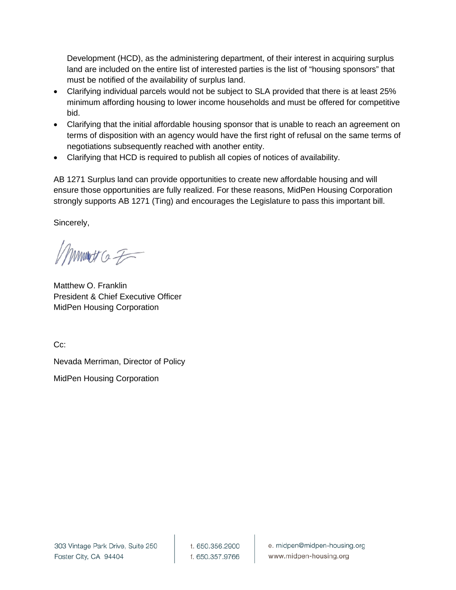Development (HCD), as the administering department, of their interest in acquiring surplus land are included on the entire list of interested parties is the list of "housing sponsors" that must be notified of the availability of surplus land.

- Clarifying individual parcels would not be subject to SLA provided that there is at least 25% minimum affording housing to lower income households and must be offered for competitive bid.
- Clarifying that the initial affordable housing sponsor that is unable to reach an agreement on terms of disposition with an agency would have the first right of refusal on the same terms of negotiations subsequently reached with another entity.
- Clarifying that HCD is required to publish all copies of notices of availability.

AB 1271 Surplus land can provide opportunities to create new affordable housing and will ensure those opportunities are fully realized. For these reasons, MidPen Housing Corporation strongly supports AB 1271 (Ting) and encourages the Legislature to pass this important bill.

Sincerely,

mmot a F

Matthew O. Franklin President & Chief Executive Officer MidPen Housing Corporation

C<sub>c</sub>:

Nevada Merriman, Director of Policy

MidPen Housing Corporation